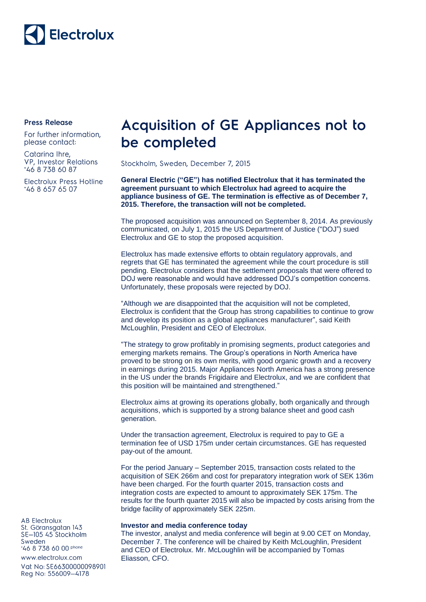

## **Press Release**

For further information, please contact:

Catarina Ihre, **VP. Investor Relations** \*46 8 738 60 87

Electrolux Press Hotline \*46 8 657 65 07

## **Acquisition of GE Appliances not to** be completed

Stockholm, Sweden, December 7, 2015

**General Electric ("GE") has notified Electrolux that it has terminated the agreement pursuant to which Electrolux had agreed to acquire the appliance business of GE. The termination is effective as of December 7, 2015. Therefore, the transaction will not be completed.**

The proposed acquisition was announced on September 8, 2014. As previously communicated, on July 1, 2015 the US Department of Justice ("DOJ") sued Electrolux and GE to stop the proposed acquisition.

Electrolux has made extensive efforts to obtain regulatory approvals, and regrets that GE has terminated the agreement while the court procedure is still pending. Electrolux considers that the settlement proposals that were offered to DOJ were reasonable and would have addressed DOJ's competition concerns. Unfortunately, these proposals were rejected by DOJ.

"Although we are disappointed that the acquisition will not be completed, Electrolux is confident that the Group has strong capabilities to continue to grow and develop its position as a global appliances manufacturer", said Keith McLoughlin, President and CEO of Electrolux.

"The strategy to grow profitably in promising segments, product categories and emerging markets remains. The Group's operations in North America have proved to be strong on its own merits, with good organic growth and a recovery in earnings during 2015. Major Appliances North America has a strong presence in the US under the brands Frigidaire and Electrolux, and we are confident that this position will be maintained and strengthened."

Electrolux aims at growing its operations globally, both organically and through acquisitions, which is supported by a strong balance sheet and good cash generation.

Under the transaction agreement, Electrolux is required to pay to GE a termination fee of USD 175m under certain circumstances. GE has requested pay-out of the amount.

For the period January – September 2015, transaction costs related to the acquisition of SEK 266m and cost for preparatory integration work of SEK 136m have been charged. For the fourth quarter 2015, transaction costs and integration costs are expected to amount to approximately SEK 175m. The results for the fourth quarter 2015 will also be impacted by costs arising from the bridge facility of approximately SEK 225m.

## **Investor and media conference today**

The investor, analyst and media conference will begin at 9.00 CET on Monday, December 7. The conference will be chaired by Keith McLoughlin, President and CEO of Electrolux. Mr. McLoughlin will be accompanied by Tomas Eliasson, CFO.

**AB Electrolux** St. Göransgatan 143 SE-105 45 Stockholm Sweden 46 8 738 60 00 phone www.electrolux.com

Vat No: SE66300000098901 Reg No: 556009-4178